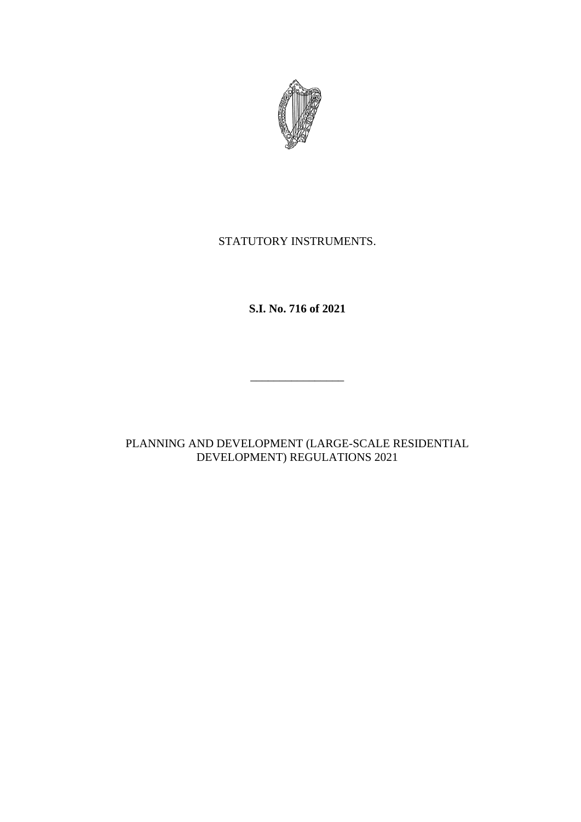

# STATUTORY INSTRUMENTS.

# **S.I. No. 716 of 2021**

 $\frac{1}{2}$  , and the set of the set of the set of the set of the set of the set of the set of the set of the set of the set of the set of the set of the set of the set of the set of the set of the set of the set of the set

# PLANNING AND DEVELOPMENT (LARGE-SCALE RESIDENTIAL DEVELOPMENT) REGULATIONS 2021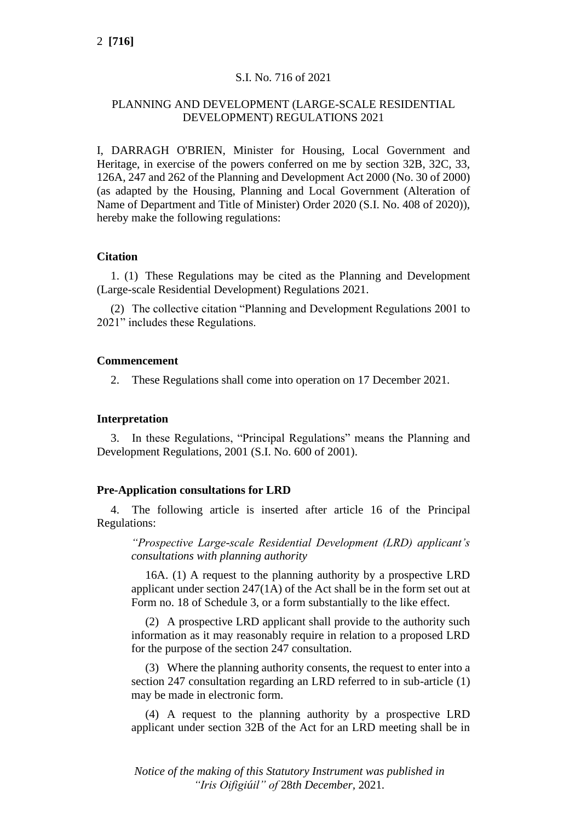# S.I. No. 716 of 2021

## PLANNING AND DEVELOPMENT (LARGE-SCALE RESIDENTIAL DEVELOPMENT) REGULATIONS 2021

I, DARRAGH O'BRIEN, Minister for Housing, Local Government and Heritage, in exercise of the powers conferred on me by section 32B, 32C, 33, 126A, 247 and 262 of the Planning and Development Act 2000 (No. 30 of 2000) (as adapted by the Housing, Planning and Local Government (Alteration of Name of Department and Title of Minister) Order 2020 (S.I. No. 408 of 2020)), hereby make the following regulations:

#### **Citation**

1. (1) These Regulations may be cited as the Planning and Development (Large-scale Residential Development) Regulations 2021.

(2) The collective citation "Planning and Development Regulations 2001 to 2021" includes these Regulations.

#### **Commencement**

2. These Regulations shall come into operation on 17 December 2021.

#### **Interpretation**

3. In these Regulations, "Principal Regulations" means the Planning and Development Regulations, 2001 (S.I. No. 600 of 2001).

## **Pre-Application consultations for LRD**

4. The following article is inserted after article 16 of the Principal Regulations:

*"Prospective Large-scale Residential Development (LRD) applicant's consultations with planning authority*

16A. (1) A request to the planning authority by a prospective LRD applicant under section 247(1A) of the Act shall be in the form set out at Form no. 18 of Schedule 3, or a form substantially to the like effect.

(2) A prospective LRD applicant shall provide to the authority such information as it may reasonably require in relation to a proposed LRD for the purpose of the section 247 consultation.

(3) Where the planning authority consents, the request to enter into a section 247 consultation regarding an LRD referred to in sub-article (1) may be made in electronic form.

(4) A request to the planning authority by a prospective LRD applicant under section 32B of the Act for an LRD meeting shall be in

*Notice of the making of this Statutory Instrument was published in "Iris Oifigiúil" of* 28*th December,* 2021*.*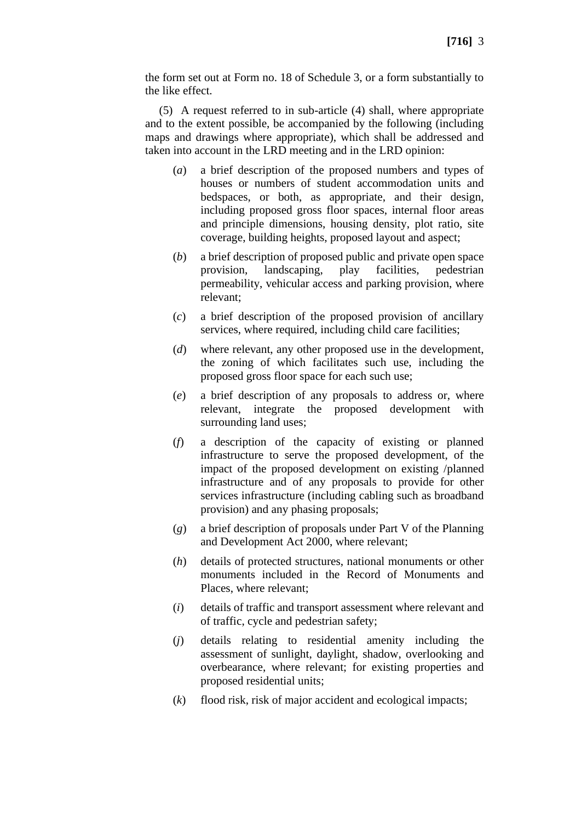the form set out at Form no. 18 of Schedule 3, or a form substantially to the like effect.

(5) A request referred to in sub-article (4) shall, where appropriate and to the extent possible, be accompanied by the following (including maps and drawings where appropriate), which shall be addressed and taken into account in the LRD meeting and in the LRD opinion:

- (*a*) a brief description of the proposed numbers and types of houses or numbers of student accommodation units and bedspaces, or both, as appropriate, and their design, including proposed gross floor spaces, internal floor areas and principle dimensions, housing density, plot ratio, site coverage, building heights, proposed layout and aspect;
- (*b*) a brief description of proposed public and private open space provision, landscaping, play facilities, pedestrian permeability, vehicular access and parking provision, where relevant;
- (*c*) a brief description of the proposed provision of ancillary services, where required, including child care facilities;
- (*d*) where relevant, any other proposed use in the development, the zoning of which facilitates such use, including the proposed gross floor space for each such use;
- (*e*) a brief description of any proposals to address or, where relevant, integrate the proposed development with surrounding land uses;
- (*f*) a description of the capacity of existing or planned infrastructure to serve the proposed development, of the impact of the proposed development on existing /planned infrastructure and of any proposals to provide for other services infrastructure (including cabling such as broadband provision) and any phasing proposals;
- (*g*) a brief description of proposals under Part V of the Planning and Development Act 2000, where relevant;
- (*h*) details of protected structures, national monuments or other monuments included in the Record of Monuments and Places, where relevant;
- (*i*) details of traffic and transport assessment where relevant and of traffic, cycle and pedestrian safety;
- (*j*) details relating to residential amenity including the assessment of sunlight, daylight, shadow, overlooking and overbearance, where relevant; for existing properties and proposed residential units;
- (*k*) flood risk, risk of major accident and ecological impacts;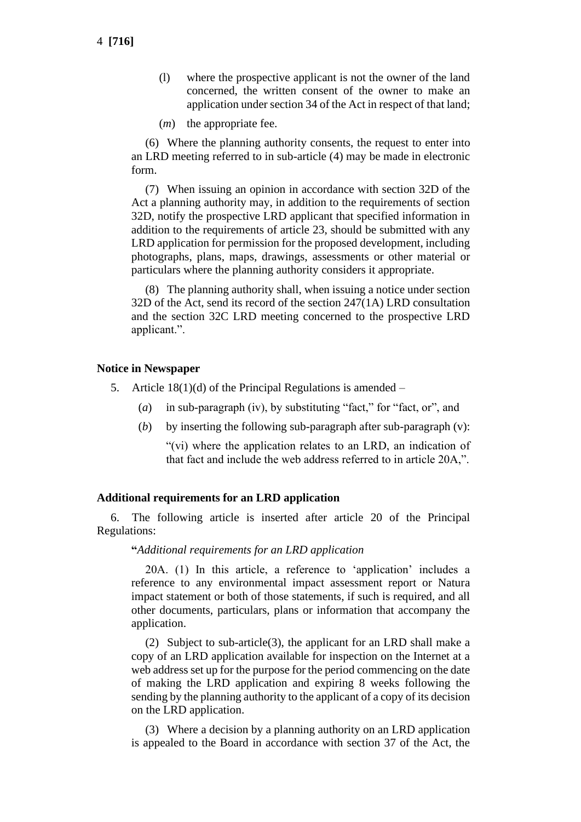- (l) where the prospective applicant is not the owner of the land concerned, the written consent of the owner to make an application under section 34 of the Act in respect of that land;
- (*m*) the appropriate fee.

(6) Where the planning authority consents, the request to enter into an LRD meeting referred to in sub-article (4) may be made in electronic form.

(7) When issuing an opinion in accordance with section 32D of the Act a planning authority may, in addition to the requirements of section 32D, notify the prospective LRD applicant that specified information in addition to the requirements of article 23, should be submitted with any LRD application for permission for the proposed development, including photographs, plans, maps, drawings, assessments or other material or particulars where the planning authority considers it appropriate.

(8) The planning authority shall, when issuing a notice under section 32D of the Act, send its record of the section 247(1A) LRD consultation and the section 32C LRD meeting concerned to the prospective LRD applicant.".

#### **Notice in Newspaper**

- 5. Article  $18(1)(d)$  of the Principal Regulations is amended
	- (*a*) in sub-paragraph (iv), by substituting "fact," for "fact, or", and
	- (*b*) by inserting the following sub-paragraph after sub-paragraph (v):

"(vi) where the application relates to an LRD, an indication of that fact and include the web address referred to in article 20A,".

#### **Additional requirements for an LRD application**

6. The following article is inserted after article 20 of the Principal Regulations:

#### **"***Additional requirements for an LRD application*

20A. (1) In this article, a reference to 'application' includes a reference to any environmental impact assessment report or Natura impact statement or both of those statements, if such is required, and all other documents, particulars, plans or information that accompany the application.

(2) Subject to sub-article(3), the applicant for an LRD shall make a copy of an LRD application available for inspection on the Internet at a web address set up for the purpose for the period commencing on the date of making the LRD application and expiring 8 weeks following the sending by the planning authority to the applicant of a copy of its decision on the LRD application.

(3) Where a decision by a planning authority on an LRD application is appealed to the Board in accordance with section 37 of the Act, the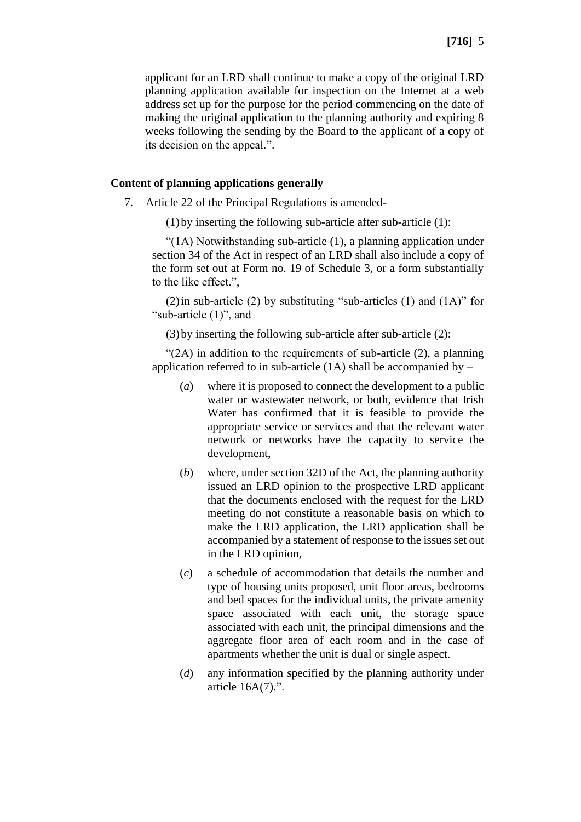applicant for an LRD shall continue to make a copy of the original LRD planning application available for inspection on the Internet at a web address set up for the purpose for the period commencing on the date of making the original application to the planning authority and expiring 8 weeks following the sending by the Board to the applicant of a copy of its decision on the appeal.".

## **Content of planning applications generally**

- 7. Article 22 of the Principal Regulations is amended-
	- (1)by inserting the following sub-article after sub-article (1):

"(1A) Notwithstanding sub-article (1), a planning application under section 34 of the Act in respect of an LRD shall also include a copy of the form set out at Form no. 19 of Schedule 3, or a form substantially to the like effect.",

(2) in sub-article (2) by substituting "sub-articles (1) and  $(1A)$ " for "sub-article (1)", and

(3)by inserting the following sub-article after sub-article (2):

"(2A) in addition to the requirements of sub-article (2), a planning application referred to in sub-article  $(1A)$  shall be accompanied by –

- (*a*) where it is proposed to connect the development to a public water or wastewater network, or both, evidence that Irish Water has confirmed that it is feasible to provide the appropriate service or services and that the relevant water network or networks have the capacity to service the development,
- (*b*) where, under section 32D of the Act, the planning authority issued an LRD opinion to the prospective LRD applicant that the documents enclosed with the request for the LRD meeting do not constitute a reasonable basis on which to make the LRD application, the LRD application shall be accompanied by a statement of response to the issues set out in the LRD opinion,
- (*c*) a schedule of accommodation that details the number and type of housing units proposed, unit floor areas, bedrooms and bed spaces for the individual units, the private amenity space associated with each unit, the storage space associated with each unit, the principal dimensions and the aggregate floor area of each room and in the case of apartments whether the unit is dual or single aspect.
- (*d*) any information specified by the planning authority under article 16A(7).".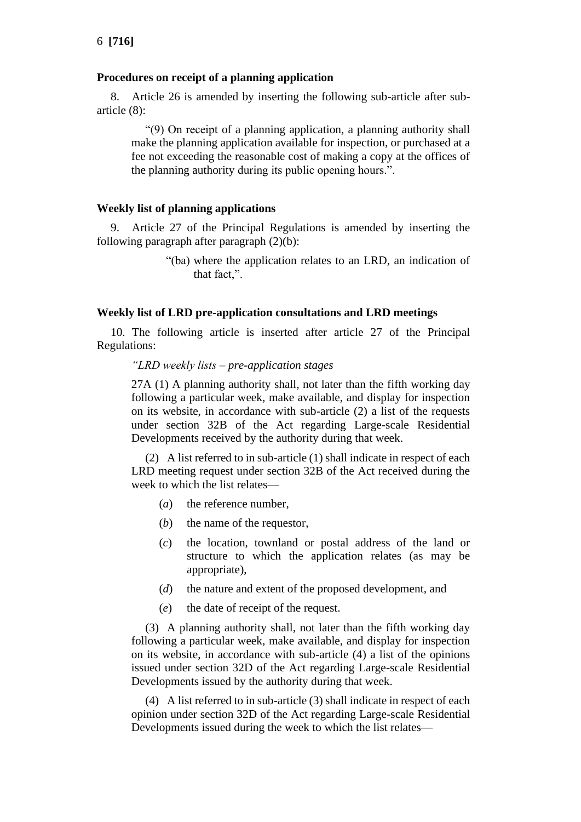#### **Procedures on receipt of a planning application**

8. Article 26 is amended by inserting the following sub-article after subarticle (8):

"(9) On receipt of a planning application, a planning authority shall make the planning application available for inspection, or purchased at a fee not exceeding the reasonable cost of making a copy at the offices of the planning authority during its public opening hours.".

#### **Weekly list of planning applications**

9. Article 27 of the Principal Regulations is amended by inserting the following paragraph after paragraph (2)(b):

> "(ba) where the application relates to an LRD, an indication of that fact,".

#### **Weekly list of LRD pre-application consultations and LRD meetings**

10. The following article is inserted after article 27 of the Principal Regulations:

#### *"LRD weekly lists – pre-application stages*

27A (1) A planning authority shall, not later than the fifth working day following a particular week, make available, and display for inspection on its website, in accordance with sub-article (2) a list of the requests under section 32B of the Act regarding Large-scale Residential Developments received by the authority during that week.

(2) A list referred to in sub-article (1) shall indicate in respect of each LRD meeting request under section 32B of the Act received during the week to which the list relates—

- (*a*) the reference number,
- (*b*) the name of the requestor,
- (*c*) the location, townland or postal address of the land or structure to which the application relates (as may be appropriate),
- (*d*) the nature and extent of the proposed development, and
- (*e*) the date of receipt of the request.

(3) A planning authority shall, not later than the fifth working day following a particular week, make available, and display for inspection on its website, in accordance with sub-article (4) a list of the opinions issued under section 32D of the Act regarding Large-scale Residential Developments issued by the authority during that week.

(4) A list referred to in sub-article (3) shall indicate in respect of each opinion under section 32D of the Act regarding Large-scale Residential Developments issued during the week to which the list relates—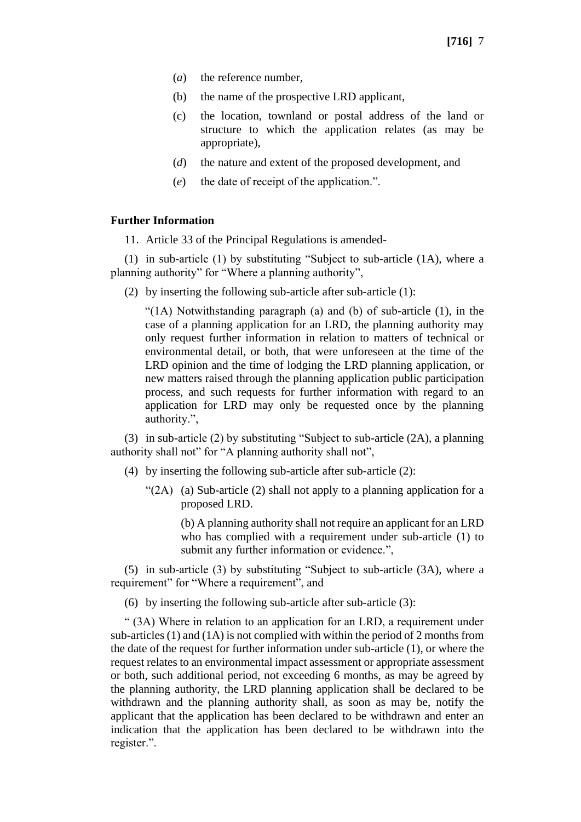- (*a*) the reference number,
- (b) the name of the prospective LRD applicant,
- (c) the location, townland or postal address of the land or structure to which the application relates (as may be appropriate),
- (*d*) the nature and extent of the proposed development, and
- (*e*) the date of receipt of the application.".

#### **Further Information**

11. Article 33 of the Principal Regulations is amended-

(1) in sub-article (1) by substituting "Subject to sub-article (1A), where a planning authority" for "Where a planning authority",

(2) by inserting the following sub-article after sub-article (1):

"(1A) Notwithstanding paragraph (a) and (b) of sub-article (1), in the case of a planning application for an LRD, the planning authority may only request further information in relation to matters of technical or environmental detail, or both, that were unforeseen at the time of the LRD opinion and the time of lodging the LRD planning application, or new matters raised through the planning application public participation process, and such requests for further information with regard to an application for LRD may only be requested once by the planning authority.",

(3) in sub-article (2) by substituting "Subject to sub-article (2A), a planning authority shall not" for "A planning authority shall not",

- (4) by inserting the following sub-article after sub-article (2):
	- " $(2A)$  (a) Sub-article (2) shall not apply to a planning application for a proposed LRD.

(b) A planning authority shall not require an applicant for an LRD who has complied with a requirement under sub-article (1) to submit any further information or evidence.",

(5) in sub-article (3) by substituting "Subject to sub-article (3A), where a requirement" for "Where a requirement", and

(6) by inserting the following sub-article after sub-article (3):

" (3A) Where in relation to an application for an LRD, a requirement under sub-articles (1) and (1A) is not complied with within the period of 2 months from the date of the request for further information under sub-article (1), or where the request relates to an environmental impact assessment or appropriate assessment or both, such additional period, not exceeding 6 months, as may be agreed by the planning authority, the LRD planning application shall be declared to be withdrawn and the planning authority shall, as soon as may be, notify the applicant that the application has been declared to be withdrawn and enter an indication that the application has been declared to be withdrawn into the register.".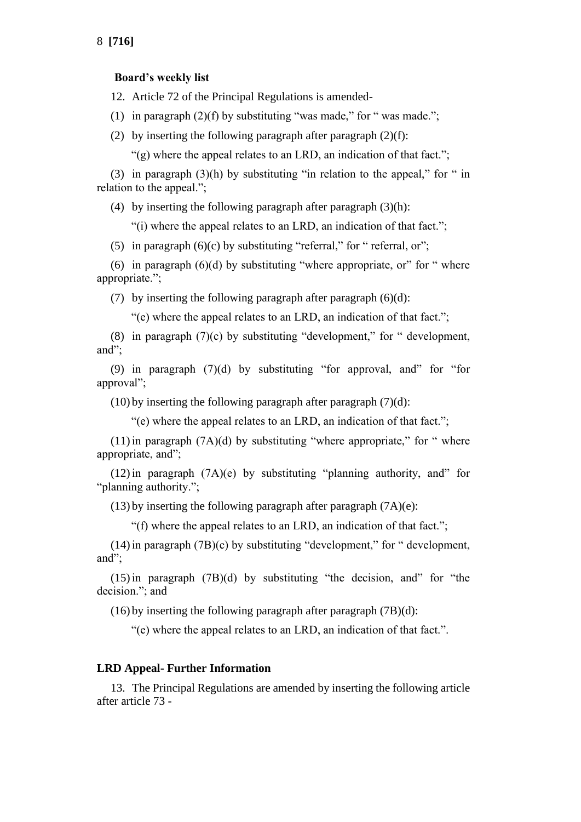#### **Board's weekly list**

12. Article 72 of the Principal Regulations is amended-

(1) in paragraph  $(2)(f)$  by substituting "was made," for " was made.";

(2) by inserting the following paragraph after paragraph  $(2)(f)$ :

" $(g)$  where the appeal relates to an LRD, an indication of that fact.";

(3) in paragraph (3)(h) by substituting "in relation to the appeal," for " in relation to the appeal.";

(4) by inserting the following paragraph after paragraph  $(3)(h)$ :

"(i) where the appeal relates to an LRD, an indication of that fact.";

(5) in paragraph  $(6)(c)$  by substituting "referral," for " referral, or";

(6) in paragraph  $(6)(d)$  by substituting "where appropriate, or" for " where appropriate.";

(7) by inserting the following paragraph after paragraph  $(6)(d)$ :

"(e) where the appeal relates to an LRD, an indication of that fact.";

(8) in paragraph  $(7)(c)$  by substituting "development," for " development, and";

(9) in paragraph  $(7)(d)$  by substituting "for approval, and" for "for approval";

 $(10)$  by inserting the following paragraph after paragraph  $(7)(d)$ :

"(e) where the appeal relates to an LRD, an indication of that fact.";

 $(11)$  in paragraph  $(7A)(d)$  by substituting "where appropriate," for " where appropriate, and";

 $(12)$  in paragraph  $(7A)(e)$  by substituting "planning authority, and" for "planning authority.";

(13) by inserting the following paragraph after paragraph (7A)(e):

"(f) where the appeal relates to an LRD, an indication of that fact.";

 $(14)$  in paragraph  $(7B)(c)$  by substituting "development," for " development, and";

 $(15)$  in paragraph  $(7B)(d)$  by substituting "the decision, and" for "the decision."; and

(16) by inserting the following paragraph after paragraph (7B)(d):

"(e) where the appeal relates to an LRD, an indication of that fact.".

#### **LRD Appeal- Further Information**

13. The Principal Regulations are amended by inserting the following article after article 73 -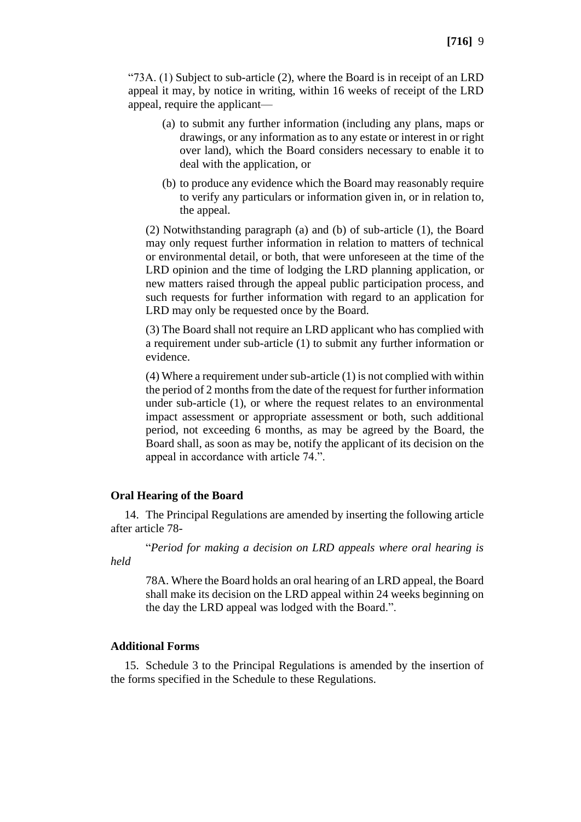"73A. (1) Subject to sub-article (2), where the Board is in receipt of an LRD appeal it may, by notice in writing, within 16 weeks of receipt of the LRD appeal, require the applicant—

- (a) to submit any further information (including any plans, maps or drawings, or any information as to any estate or interest in or right over land), which the Board considers necessary to enable it to deal with the application, or
- (b) to produce any evidence which the Board may reasonably require to verify any particulars or information given in, or in relation to, the appeal.

(2) Notwithstanding paragraph (a) and (b) of sub-article (1), the Board may only request further information in relation to matters of technical or environmental detail, or both, that were unforeseen at the time of the LRD opinion and the time of lodging the LRD planning application, or new matters raised through the appeal public participation process, and such requests for further information with regard to an application for LRD may only be requested once by the Board.

(3) The Board shall not require an LRD applicant who has complied with a requirement under sub-article (1) to submit any further information or evidence.

(4) Where a requirement under sub-article (1) is not complied with within the period of 2 months from the date of the request for further information under sub-article (1), or where the request relates to an environmental impact assessment or appropriate assessment or both, such additional period, not exceeding 6 months, as may be agreed by the Board, the Board shall, as soon as may be, notify the applicant of its decision on the appeal in accordance with article 74.".

#### **Oral Hearing of the Board**

14. The Principal Regulations are amended by inserting the following article after article 78-

"*Period for making a decision on LRD appeals where oral hearing is held*

78A. Where the Board holds an oral hearing of an LRD appeal, the Board shall make its decision on the LRD appeal within 24 weeks beginning on the day the LRD appeal was lodged with the Board.".

#### **Additional Forms**

15. Schedule 3 to the Principal Regulations is amended by the insertion of the forms specified in the Schedule to these Regulations.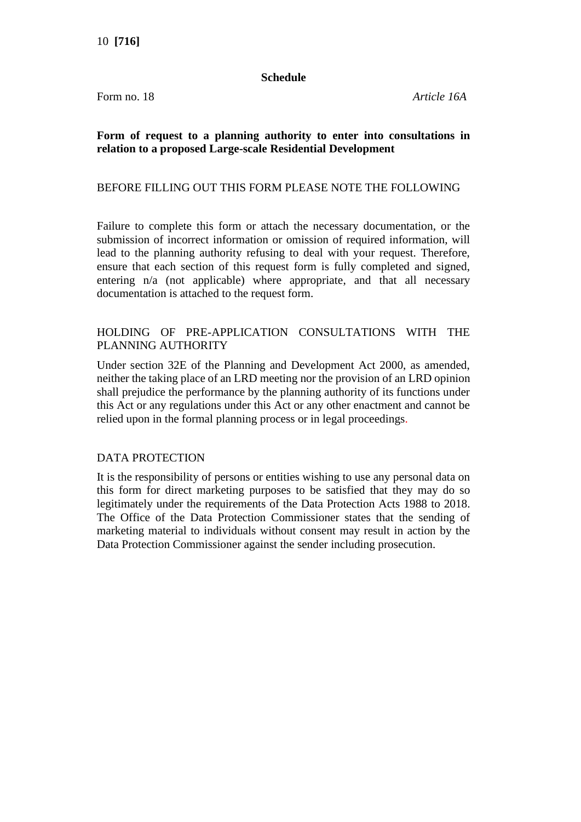#### **Schedule**

Form no. 18 *Article 16A*

# **Form of request to a planning authority to enter into consultations in relation to a proposed Large-scale Residential Development**

# BEFORE FILLING OUT THIS FORM PLEASE NOTE THE FOLLOWING

Failure to complete this form or attach the necessary documentation, or the submission of incorrect information or omission of required information, will lead to the planning authority refusing to deal with your request. Therefore, ensure that each section of this request form is fully completed and signed, entering n/a (not applicable) where appropriate, and that all necessary documentation is attached to the request form.

# HOLDING OF PRE-APPLICATION CONSULTATIONS WITH THE PLANNING AUTHORITY

Under section 32E of the Planning and Development Act 2000, as amended, neither the taking place of an LRD meeting nor the provision of an LRD opinion shall prejudice the performance by the planning authority of its functions under this Act or any regulations under this Act or any other enactment and cannot be relied upon in the formal planning process or in legal proceedings.

# DATA PROTECTION

It is the responsibility of persons or entities wishing to use any personal data on this form for direct marketing purposes to be satisfied that they may do so legitimately under the requirements of the Data Protection Acts 1988 to 2018. The Office of the Data Protection Commissioner states that the sending of marketing material to individuals without consent may result in action by the Data Protection Commissioner against the sender including prosecution.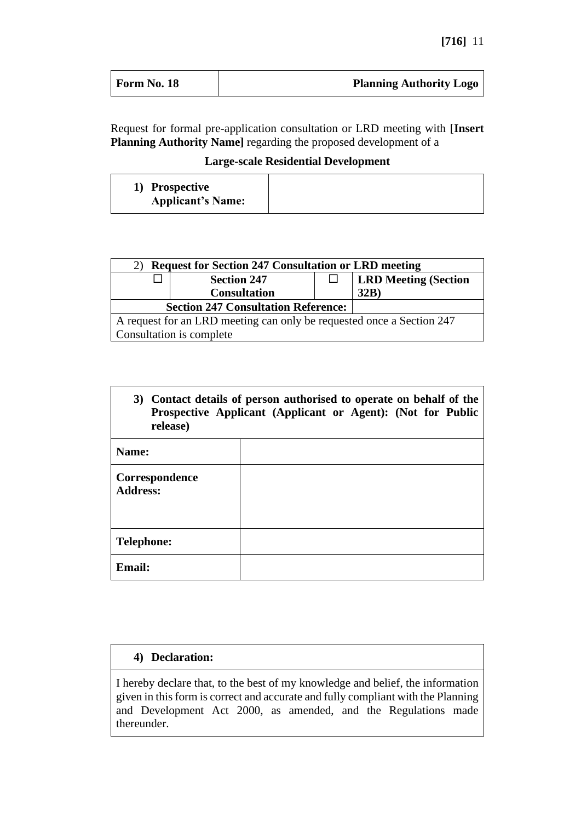| Form No. 18 | <b>Planning Authority Logo</b> |
|-------------|--------------------------------|
|             |                                |

Request for formal pre-application consultation or LRD meeting with [**Insert Planning Authority Name]** regarding the proposed development of a

**Large-scale Residential Development**

| 1) Prospective<br><b>Applicant's Name:</b> |  |
|--------------------------------------------|--|
|--------------------------------------------|--|

| <b>Request for Section 247 Consultation or LRD meeting</b>            |                          |  |                             |  |
|-----------------------------------------------------------------------|--------------------------|--|-----------------------------|--|
|                                                                       | <b>Section 247</b>       |  | <b>LRD Meeting (Section</b> |  |
|                                                                       | <b>Consultation</b>      |  | 32B)                        |  |
| <b>Section 247 Consultation Reference:</b>                            |                          |  |                             |  |
| A request for an LRD meeting can only be requested once a Section 247 |                          |  |                             |  |
|                                                                       | Consultation is complete |  |                             |  |

| 3) Contact details of person authorised to operate on behalf of the<br>Prospective Applicant (Applicant or Agent): (Not for Public<br>release) |  |  |  |  |
|------------------------------------------------------------------------------------------------------------------------------------------------|--|--|--|--|
| Name:                                                                                                                                          |  |  |  |  |
| Correspondence<br><b>Address:</b>                                                                                                              |  |  |  |  |
| <b>Telephone:</b>                                                                                                                              |  |  |  |  |
| Email:                                                                                                                                         |  |  |  |  |

# **4) Declaration:**

I hereby declare that, to the best of my knowledge and belief, the information given in this form is correct and accurate and fully compliant with the Planning and Development Act 2000, as amended, and the Regulations made thereunder.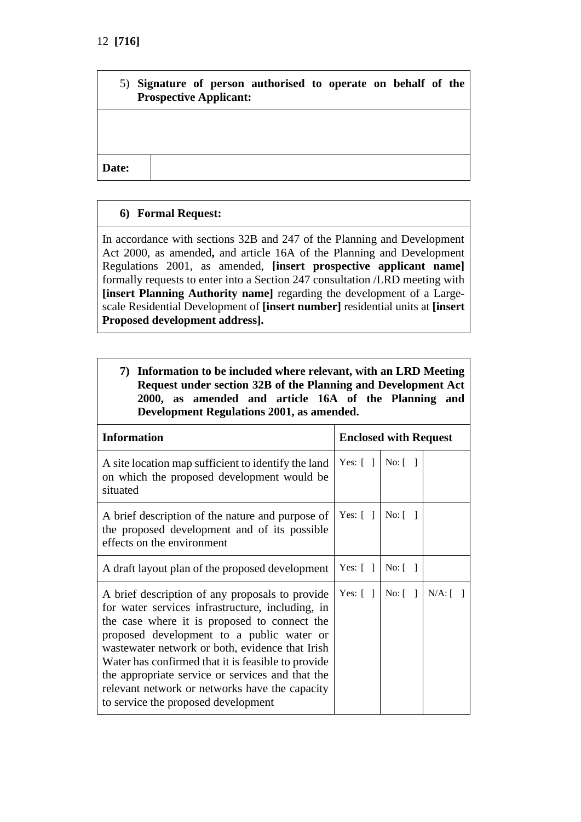|       | 5) Signature of person authorised to operate on behalf of the<br><b>Prospective Applicant:</b> |  |  |  |  |
|-------|------------------------------------------------------------------------------------------------|--|--|--|--|
|       |                                                                                                |  |  |  |  |
| Date: |                                                                                                |  |  |  |  |

# **6) Formal Request:**

In accordance with sections 32B and 247 of the Planning and Development Act 2000, as amended**,** and article 16A of the Planning and Development Regulations 2001, as amended, **[insert prospective applicant name]** formally requests to enter into a Section 247 consultation /LRD meeting with **[insert Planning Authority name]** regarding the development of a Largescale Residential Development of **[insert number]** residential units at **[insert Proposed development address].**

|  | 7) Information to be included where relevant, with an LRD Meeting |  |  |  |  |
|--|-------------------------------------------------------------------|--|--|--|--|
|  | Request under section 32B of the Planning and Development Act     |  |  |  |  |
|  | 2000, as amended and article 16A of the Planning and              |  |  |  |  |
|  | Development Regulations 2001, as amended.                         |  |  |  |  |

| <b>Information</b>                                                                                                                                                                                                                                                                                                                                                                                                                                     |                         | <b>Enclosed with Request</b>     |            |
|--------------------------------------------------------------------------------------------------------------------------------------------------------------------------------------------------------------------------------------------------------------------------------------------------------------------------------------------------------------------------------------------------------------------------------------------------------|-------------------------|----------------------------------|------------|
| A site location map sufficient to identify the land<br>on which the proposed development would be<br>situated                                                                                                                                                                                                                                                                                                                                          | Yes: $\lceil \; \rceil$ | $No: \lceil \; \rceil$           |            |
| A brief description of the nature and purpose of<br>the proposed development and of its possible<br>effects on the environment                                                                                                                                                                                                                                                                                                                         | Yes: $\lceil \; \rceil$ | $\text{No:} \lceil \quad \rceil$ |            |
| A draft layout plan of the proposed development                                                                                                                                                                                                                                                                                                                                                                                                        | Yes: $[ ]$              | No: [                            |            |
| A brief description of any proposals to provide<br>for water services infrastructure, including, in<br>the case where it is proposed to connect the<br>proposed development to a public water or<br>wastewater network or both, evidence that Irish<br>Water has confirmed that it is feasible to provide<br>the appropriate service or services and that the<br>relevant network or networks have the capacity<br>to service the proposed development | Yes: $\lceil \; \rceil$ | No: [                            | $N/A:$ [ ] |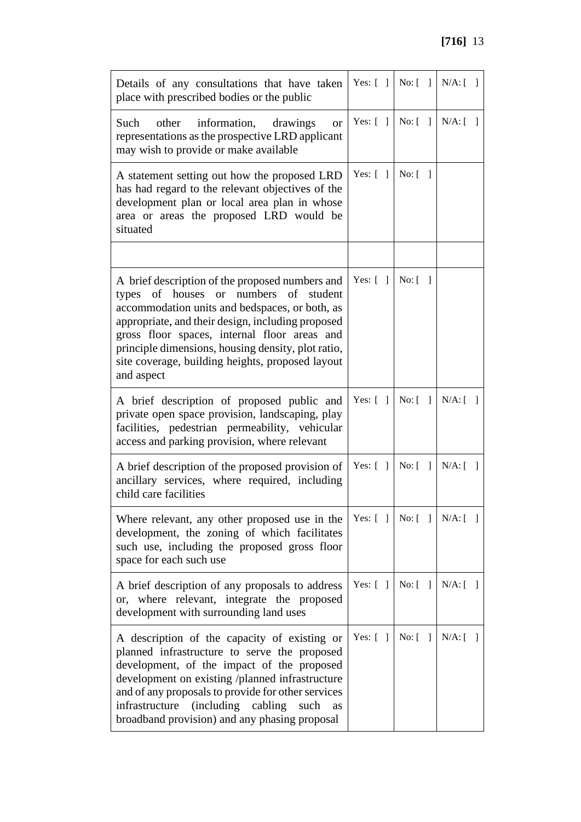| Details of any consultations that have taken<br>place with prescribed bodies or the public                                                                                                                                                                                                                                                                              |                         |               | Yes: $[ ]   No: [ ]   N/A: [ ]$                                                            |
|-------------------------------------------------------------------------------------------------------------------------------------------------------------------------------------------------------------------------------------------------------------------------------------------------------------------------------------------------------------------------|-------------------------|---------------|--------------------------------------------------------------------------------------------|
| Such<br>information,<br>other<br>drawings<br><b>or</b><br>representations as the prospective LRD applicant<br>may wish to provide or make available                                                                                                                                                                                                                     | Yes: $[ ]$              | No: [         | $N/A:$ [ ]                                                                                 |
| A statement setting out how the proposed LRD<br>has had regard to the relevant objectives of the<br>development plan or local area plan in whose<br>area or areas the proposed LRD would be<br>situated                                                                                                                                                                 | Yes: $\lceil \; \rceil$ | No: [         |                                                                                            |
|                                                                                                                                                                                                                                                                                                                                                                         |                         |               |                                                                                            |
| A brief description of the proposed numbers and<br>types of houses or numbers of student<br>accommodation units and bedspaces, or both, as<br>appropriate, and their design, including proposed<br>gross floor spaces, internal floor areas and<br>principle dimensions, housing density, plot ratio,<br>site coverage, building heights, proposed layout<br>and aspect | Yes: $\lceil \; \rceil$ | No: [         |                                                                                            |
| A brief description of proposed public and<br>private open space provision, landscaping, play<br>facilities, pedestrian permeability, vehicular<br>access and parking provision, where relevant                                                                                                                                                                         | Yes: $\lceil \; \rceil$ | No: [         | $N/A:$ [ ]                                                                                 |
| A brief description of the proposed provision of<br>ancillary services, where required, including<br>child care facilities                                                                                                                                                                                                                                              | Yes: $[ ]$              | No: [         | $N/A:$ [ ]                                                                                 |
| Where relevant, any other proposed use in the<br>development, the zoning of which facilitates<br>such use, including the proposed gross floor<br>space for each such use                                                                                                                                                                                                |                         |               | Yes: $\lceil \; \rceil \; \rceil$ No: $\lceil \; \rceil \; \rceil$ N/A: $\lceil \; \rceil$ |
| A brief description of any proposals to address<br>or, where relevant, integrate the proposed<br>development with surrounding land uses                                                                                                                                                                                                                                 | Yes: $\lceil \; \rceil$ | No: [<br>-1   | $N/A$ : [                                                                                  |
| A description of the capacity of existing or<br>planned infrastructure to serve the proposed<br>development, of the impact of the proposed<br>development on existing /planned infrastructure<br>and of any proposals to provide for other services<br>infrastructure (including cabling<br>such<br>as<br>broadband provision) and any phasing proposal                 | Yes: $\lceil \; \rceil$ | $No:$ [<br>-1 | $N/A:$ [ ]                                                                                 |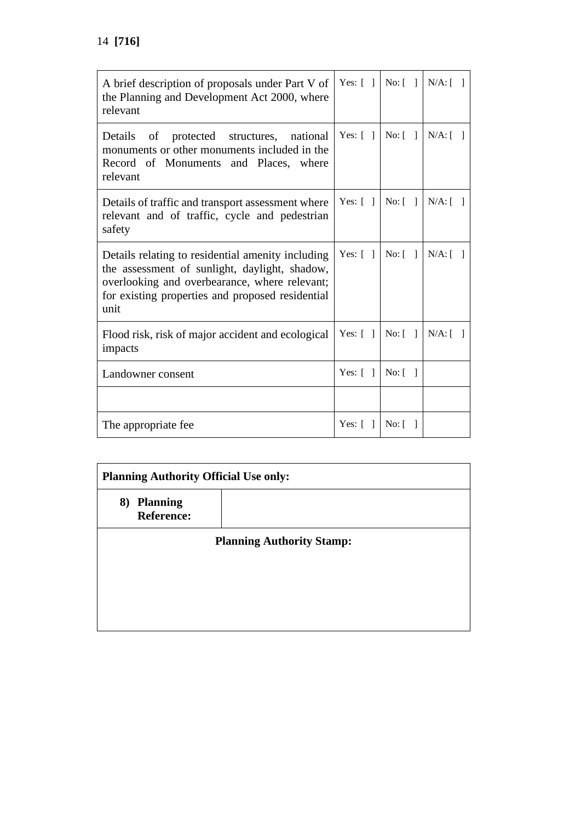| A brief description of proposals under Part V of<br>the Planning and Development Act 2000, where<br>relevant                                                                                                    | Yes: $[ \ ]$            | $No: \lceil \; \rceil$    | $N/A:$ [ ] |
|-----------------------------------------------------------------------------------------------------------------------------------------------------------------------------------------------------------------|-------------------------|---------------------------|------------|
| protected structures, national<br>Details of<br>monuments or other monuments included in the<br>Record of Monuments and Places, where<br>relevant                                                               | Yes: $\lceil \rceil$    | No: [                     | $N/A:$ [ ] |
| Details of traffic and transport assessment where<br>relevant and of traffic, cycle and pedestrian<br>safety                                                                                                    | Yes: $\lceil \; \rceil$ | No: [                     | $N/A:$ [ ] |
| Details relating to residential amenity including<br>the assessment of sunlight, daylight, shadow,<br>overlooking and overbearance, where relevant;<br>for existing properties and proposed residential<br>unit | Yes: $\lceil \; \rceil$ | No: $\lceil \quad \rceil$ | $N/A:$ [ ] |
| Flood risk, risk of major accident and ecological<br>impacts                                                                                                                                                    | Yes: $\lceil \rceil$    | No: [                     | $N/A:$ [ ] |
| Landowner consent                                                                                                                                                                                               | Yes: $\lceil \; \rceil$ | No: [                     |            |
|                                                                                                                                                                                                                 |                         |                           |            |
| The appropriate fee                                                                                                                                                                                             | Yes: $\lceil \; \rceil$ | No: [                     |            |

| <b>Planning Authority Official Use only:</b> |  |  |
|----------------------------------------------|--|--|
| 8) Planning<br><b>Reference:</b>             |  |  |
| <b>Planning Authority Stamp:</b>             |  |  |
|                                              |  |  |
|                                              |  |  |
|                                              |  |  |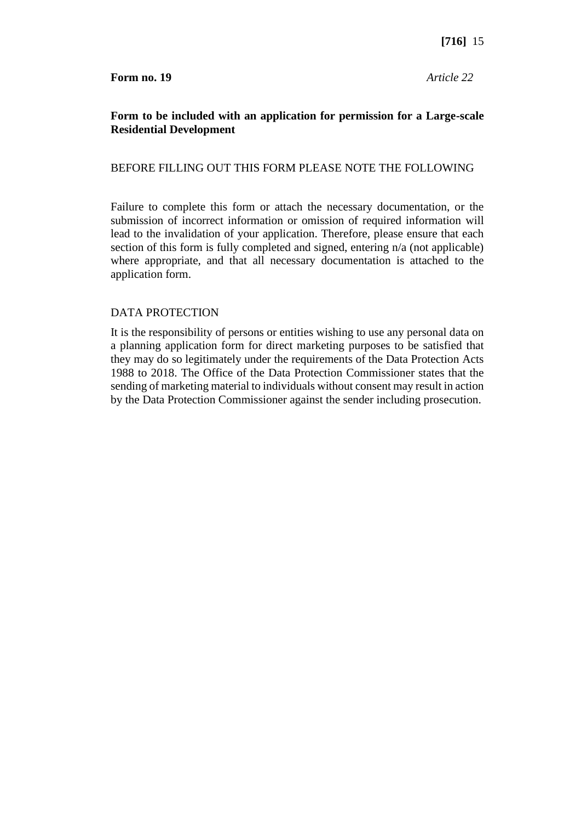# **Form to be included with an application for permission for a Large-scale Residential Development**

#### BEFORE FILLING OUT THIS FORM PLEASE NOTE THE FOLLOWING

Failure to complete this form or attach the necessary documentation, or the submission of incorrect information or omission of required information will lead to the invalidation of your application. Therefore, please ensure that each section of this form is fully completed and signed, entering n/a (not applicable) where appropriate, and that all necessary documentation is attached to the application form.

#### DATA PROTECTION

It is the responsibility of persons or entities wishing to use any personal data on a planning application form for direct marketing purposes to be satisfied that they may do so legitimately under the requirements of the Data Protection Acts 1988 to 2018. The Office of the Data Protection Commissioner states that the sending of marketing material to individuals without consent may result in action by the Data Protection Commissioner against the sender including prosecution.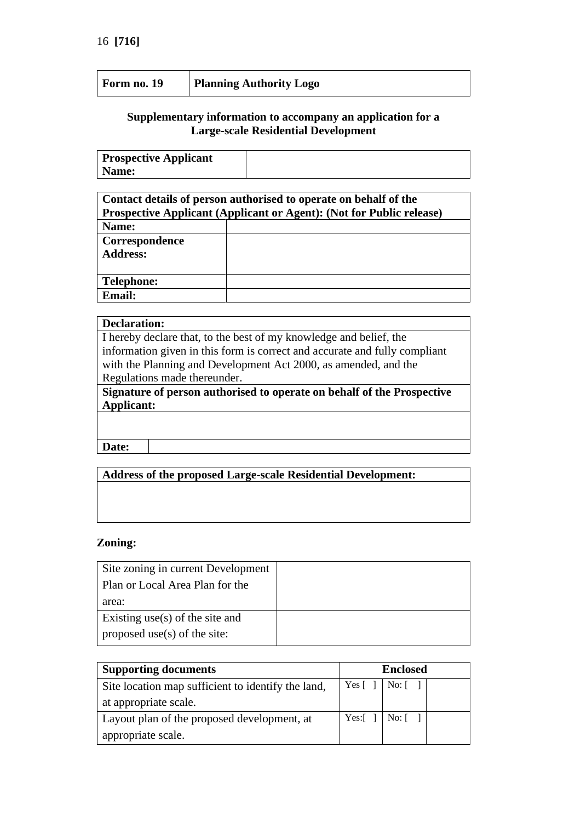| Planning Authority Logo<br>Form no. 19 |
|----------------------------------------|
|----------------------------------------|

## **Supplementary information to accompany an application for a Large-scale Residential Development**

| <b>Prospective Applicant</b> |  |
|------------------------------|--|
| Name:                        |  |

| Contact details of person authorised to operate on behalf of the            |  |  |
|-----------------------------------------------------------------------------|--|--|
| <b>Prospective Applicant (Applicant or Agent): (Not for Public release)</b> |  |  |
| Name:                                                                       |  |  |
| Correspondence                                                              |  |  |
| <b>Address:</b>                                                             |  |  |
|                                                                             |  |  |
| <b>Telephone:</b>                                                           |  |  |
| <b>Email:</b>                                                               |  |  |
|                                                                             |  |  |

#### **Declaration:**

I hereby declare that, to the best of my knowledge and belief, the information given in this form is correct and accurate and fully compliant with the Planning and Development Act 2000, as amended, and the Regulations made thereunder.

**Signature of person authorised to operate on behalf of the Prospective Applicant:**

**Date:**

**Address of the proposed Large-scale Residential Development:**

#### **Zoning:**

| Site zoning in current Development |  |
|------------------------------------|--|
| Plan or Local Area Plan for the    |  |
| area:                              |  |
| Existing use(s) of the site and    |  |
| proposed use(s) of the site:       |  |

| <b>Supporting documents</b>                        |  | <b>Enclosed</b>                                      |  |  |
|----------------------------------------------------|--|------------------------------------------------------|--|--|
| Site location map sufficient to identify the land, |  | Yes [ ]   No: [ ]                                    |  |  |
| at appropriate scale.                              |  |                                                      |  |  |
| Layout plan of the proposed development, at        |  | Yes: $\lceil \cdot \rceil$ No: $\lceil \cdot \rceil$ |  |  |
| appropriate scale.                                 |  |                                                      |  |  |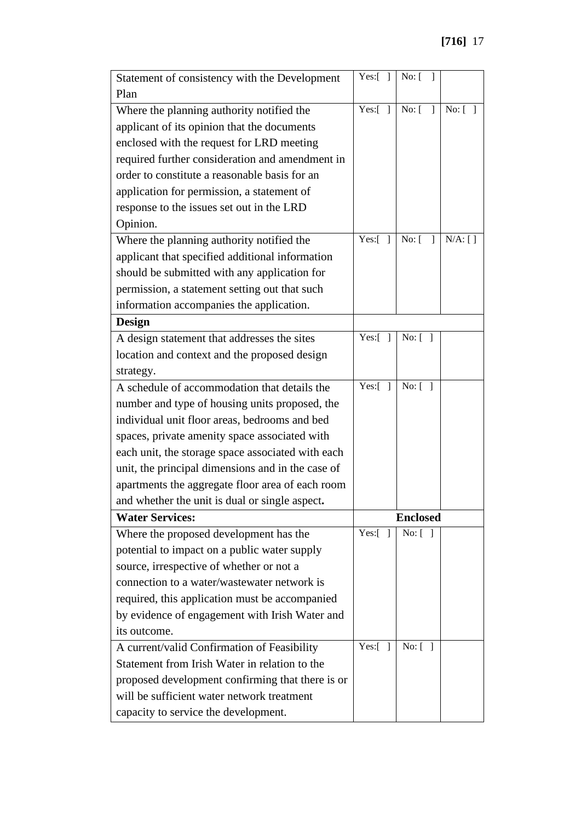| Statement of consistency with the Development     | Yes: $[ ]$                 | No: $[$ ]                    |            |
|---------------------------------------------------|----------------------------|------------------------------|------------|
| Plan                                              |                            |                              |            |
| Where the planning authority notified the         | $Yes:$ [<br>$\overline{1}$ | No: [<br>$\overline{1}$      | No: [ ]    |
| applicant of its opinion that the documents       |                            |                              |            |
| enclosed with the request for LRD meeting         |                            |                              |            |
| required further consideration and amendment in   |                            |                              |            |
| order to constitute a reasonable basis for an     |                            |                              |            |
| application for permission, a statement of        |                            |                              |            |
| response to the issues set out in the LRD         |                            |                              |            |
| Opinion.                                          |                            |                              |            |
| Where the planning authority notified the         | Yes:[<br>$\mathbf{1}$      | $No: \lceil$<br>$\mathbf{1}$ | $N/A$ : [] |
| applicant that specified additional information   |                            |                              |            |
| should be submitted with any application for      |                            |                              |            |
| permission, a statement setting out that such     |                            |                              |            |
| information accompanies the application.          |                            |                              |            |
| <b>Design</b>                                     |                            |                              |            |
| A design statement that addresses the sites       | $Yes:$ [<br>- 1            | No: [ ]                      |            |
| location and context and the proposed design      |                            |                              |            |
| strategy.                                         |                            |                              |            |
| A schedule of accommodation that details the      | Yes:[<br>$\Box$            | No: [ ]                      |            |
| number and type of housing units proposed, the    |                            |                              |            |
| individual unit floor areas, bedrooms and bed     |                            |                              |            |
| spaces, private amenity space associated with     |                            |                              |            |
| each unit, the storage space associated with each |                            |                              |            |
| unit, the principal dimensions and in the case of |                            |                              |            |
| apartments the aggregate floor area of each room  |                            |                              |            |
| and whether the unit is dual or single aspect.    |                            |                              |            |
| <b>Water Services:</b>                            |                            | <b>Enclosed</b>              |            |
| Where the proposed development has the            | Yes:[<br>-1                | No: [ ]                      |            |
| potential to impact on a public water supply      |                            |                              |            |
| source, irrespective of whether or not a          |                            |                              |            |
| connection to a water/wastewater network is       |                            |                              |            |
| required, this application must be accompanied    |                            |                              |            |
| by evidence of engagement with Irish Water and    |                            |                              |            |
| its outcome.                                      |                            |                              |            |
| A current/valid Confirmation of Feasibility       | Yes: $\lceil \rceil$       | No: [                        |            |
| Statement from Irish Water in relation to the     |                            |                              |            |
| proposed development confirming that there is or  |                            |                              |            |
| will be sufficient water network treatment        |                            |                              |            |
| capacity to service the development.              |                            |                              |            |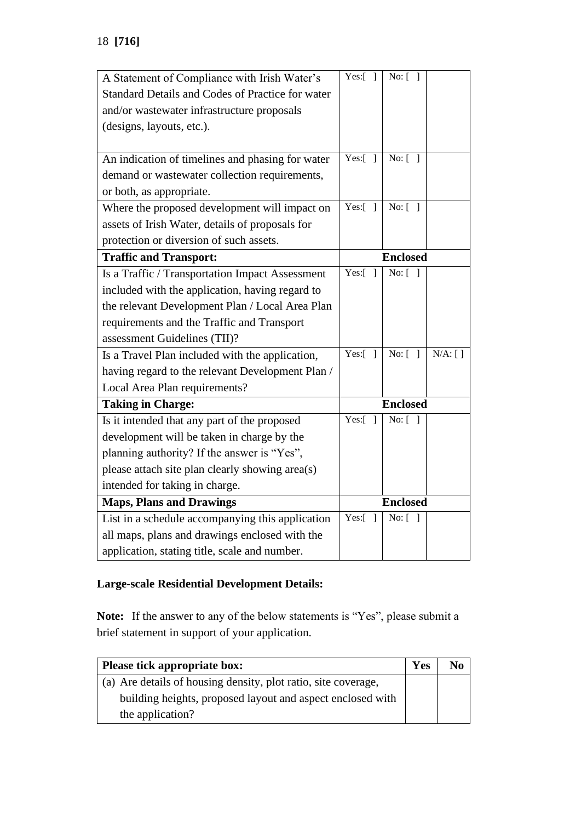| A Statement of Compliance with Irish Water's     | Yes: $\boxed{ }$           | No: [ ]         |            |
|--------------------------------------------------|----------------------------|-----------------|------------|
| Standard Details and Codes of Practice for water |                            |                 |            |
| and/or wastewater infrastructure proposals       |                            |                 |            |
| (designs, layouts, etc.).                        |                            |                 |            |
|                                                  |                            |                 |            |
| An indication of timelines and phasing for water | Yes: $\lceil \rceil$       | No: $\sqrt{ }$  |            |
| demand or wastewater collection requirements,    |                            |                 |            |
| or both, as appropriate.                         |                            |                 |            |
| Where the proposed development will impact on    | Yes:[<br>$\mathbf{1}$      | No: $\boxed{1}$ |            |
| assets of Irish Water, details of proposals for  |                            |                 |            |
| protection or diversion of such assets.          |                            |                 |            |
| <b>Traffic and Transport:</b>                    |                            | <b>Enclosed</b> |            |
| Is a Traffic / Transportation Impact Assessment  | Yes:[<br>$\mathbf{1}$      | No: [           |            |
| included with the application, having regard to  |                            |                 |            |
| the relevant Development Plan / Local Area Plan  |                            |                 |            |
| requirements and the Traffic and Transport       |                            |                 |            |
| assessment Guidelines (TII)?                     |                            |                 |            |
| Is a Travel Plan included with the application,  | Yes: $\lceil \rceil$       | No: [           | $N/A$ : [] |
| having regard to the relevant Development Plan / |                            |                 |            |
| Local Area Plan requirements?                    |                            |                 |            |
| <b>Taking in Charge:</b>                         | <b>Enclosed</b>            |                 |            |
| Is it intended that any part of the proposed     | $Yes:$ [<br>$\overline{1}$ | No: [           |            |
| development will be taken in charge by the       |                            |                 |            |
| planning authority? If the answer is "Yes",      |                            |                 |            |
| please attach site plan clearly showing area(s)  |                            |                 |            |
| intended for taking in charge.                   |                            |                 |            |
| <b>Maps, Plans and Drawings</b>                  | <b>Enclosed</b>            |                 |            |
| List in a schedule accompanying this application | Yes:[<br>-1                | No: [ ]         |            |
| all maps, plans and drawings enclosed with the   |                            |                 |            |
| application, stating title, scale and number.    |                            |                 |            |

# **Large-scale Residential Development Details:**

**Note:** If the answer to any of the below statements is "Yes", please submit a brief statement in support of your application.

| Please tick appropriate box:                                   | Yes | No |
|----------------------------------------------------------------|-----|----|
| (a) Are details of housing density, plot ratio, site coverage, |     |    |
| building heights, proposed layout and aspect enclosed with     |     |    |
| the application?                                               |     |    |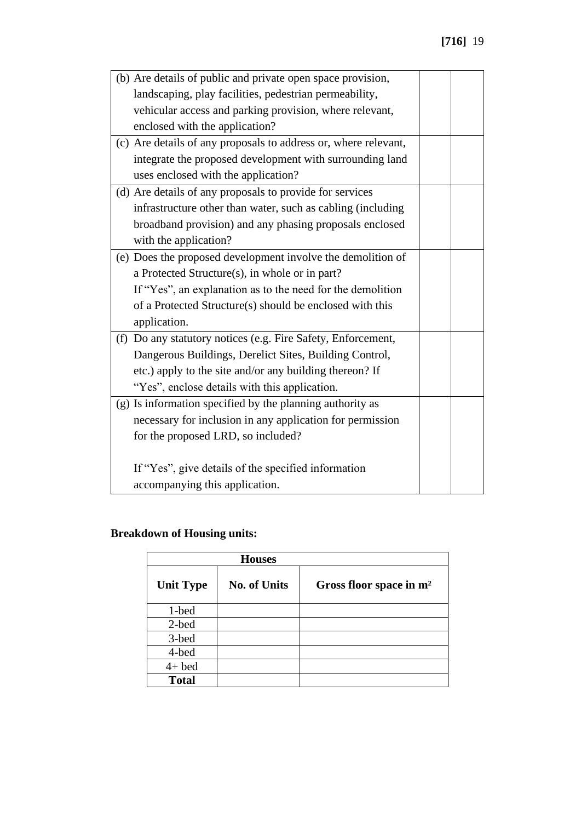| (b) Are details of public and private open space provision,     |  |
|-----------------------------------------------------------------|--|
| landscaping, play facilities, pedestrian permeability,          |  |
| vehicular access and parking provision, where relevant,         |  |
| enclosed with the application?                                  |  |
| (c) Are details of any proposals to address or, where relevant, |  |
| integrate the proposed development with surrounding land        |  |
| uses enclosed with the application?                             |  |
| (d) Are details of any proposals to provide for services        |  |
| infrastructure other than water, such as cabling (including     |  |
| broadband provision) and any phasing proposals enclosed         |  |
| with the application?                                           |  |
| (e) Does the proposed development involve the demolition of     |  |
| a Protected Structure(s), in whole or in part?                  |  |
| If "Yes", an explanation as to the need for the demolition      |  |
| of a Protected Structure(s) should be enclosed with this        |  |
| application.                                                    |  |
| (f) Do any statutory notices (e.g. Fire Safety, Enforcement,    |  |
| Dangerous Buildings, Derelict Sites, Building Control,          |  |
| etc.) apply to the site and/or any building thereon? If         |  |
| "Yes", enclose details with this application.                   |  |
| (g) Is information specified by the planning authority as       |  |
| necessary for inclusion in any application for permission       |  |
| for the proposed LRD, so included?                              |  |
|                                                                 |  |
| If "Yes", give details of the specified information             |  |
| accompanying this application.                                  |  |

# **Breakdown of Housing units:**

|                  | <b>Houses</b>       |                                     |
|------------------|---------------------|-------------------------------------|
| <b>Unit Type</b> | <b>No. of Units</b> | Gross floor space in m <sup>2</sup> |
| 1-bed            |                     |                                     |
| 2-bed            |                     |                                     |
| 3-bed            |                     |                                     |
| 4-bed            |                     |                                     |
| $4+$ bed         |                     |                                     |
| <b>Total</b>     |                     |                                     |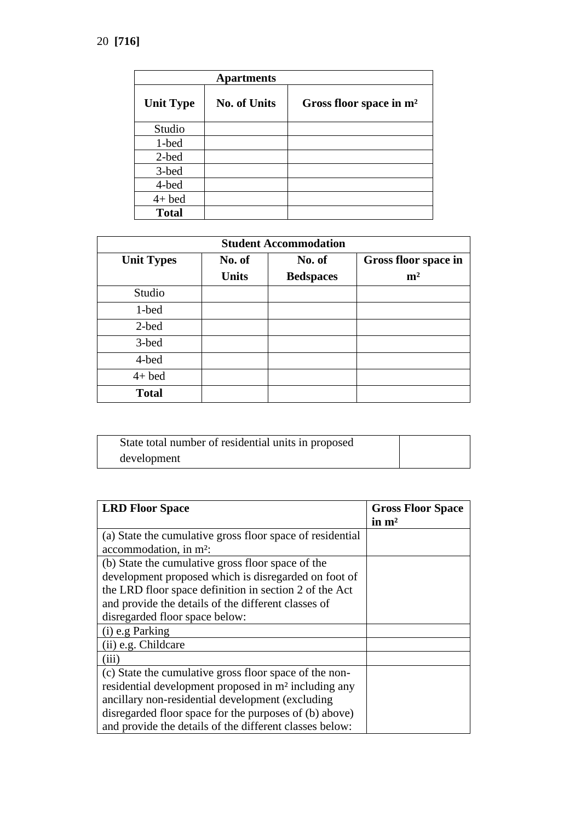|                  | <b>Apartments</b>   |                                     |
|------------------|---------------------|-------------------------------------|
| <b>Unit Type</b> | <b>No. of Units</b> | Gross floor space in m <sup>2</sup> |
| Studio           |                     |                                     |
| 1-bed            |                     |                                     |
| 2-bed            |                     |                                     |
| 3-bed            |                     |                                     |
| 4-bed            |                     |                                     |
| $4+$ bed         |                     |                                     |
| <b>Total</b>     |                     |                                     |

| <b>Student Accommodation</b> |              |                  |                      |  |
|------------------------------|--------------|------------------|----------------------|--|
| <b>Unit Types</b>            | No. of       | No. of           | Gross floor space in |  |
|                              | <b>Units</b> | <b>Bedspaces</b> | m <sup>2</sup>       |  |
| Studio                       |              |                  |                      |  |
| 1-bed                        |              |                  |                      |  |
| 2-bed                        |              |                  |                      |  |
| 3-bed                        |              |                  |                      |  |
| 4-bed                        |              |                  |                      |  |
| $4+$ bed                     |              |                  |                      |  |
| <b>Total</b>                 |              |                  |                      |  |

| State total number of residential units in proposed |  |
|-----------------------------------------------------|--|
| development                                         |  |

| <b>LRD Floor Space</b>                                           | <b>Gross Floor Space</b> |
|------------------------------------------------------------------|--------------------------|
|                                                                  | in $m2$                  |
| (a) State the cumulative gross floor space of residential        |                          |
| accommodation, in m <sup>2</sup> :                               |                          |
| (b) State the cumulative gross floor space of the                |                          |
| development proposed which is disregarded on foot of             |                          |
| the LRD floor space definition in section 2 of the Act           |                          |
| and provide the details of the different classes of              |                          |
| disregarded floor space below:                                   |                          |
| $(i)$ e.g Parking                                                |                          |
| (ii) e.g. Childcare                                              |                          |
| (iii)                                                            |                          |
| (c) State the cumulative gross floor space of the non-           |                          |
| residential development proposed in m <sup>2</sup> including any |                          |
| ancillary non-residential development (excluding)                |                          |
| disregarded floor space for the purposes of (b) above)           |                          |
| and provide the details of the different classes below:          |                          |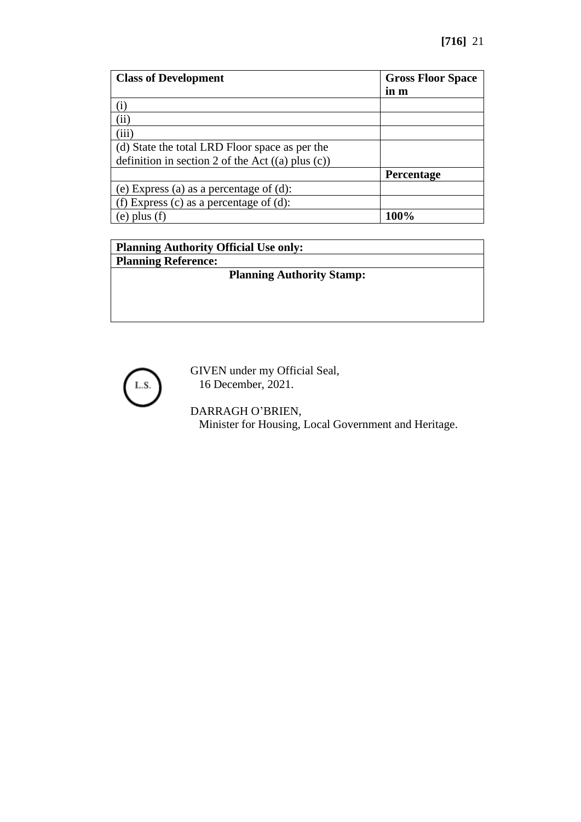| <b>Class of Development</b>                           | <b>Gross Floor Space</b> |
|-------------------------------------------------------|--------------------------|
|                                                       | in m                     |
| $\rm(i)$                                              |                          |
| (ii)                                                  |                          |
| (iii)                                                 |                          |
| (d) State the total LRD Floor space as per the        |                          |
| definition in section 2 of the Act $((a)$ plus $(c))$ |                          |
|                                                       | Percentage               |
| (e) Express (a) as a percentage of (d):               |                          |
| (f) Express (c) as a percentage of (d):               |                          |
| plus $(f)$<br>(e)                                     | 100%                     |

| <b>Planning Authority Official Use only:</b> |
|----------------------------------------------|
| <b>Planning Reference:</b>                   |
| <b>Planning Authority Stamp:</b>             |
|                                              |



GIVEN under my Official Seal, 16 December, 2021.

# DARRAGH O'BRIEN,

Minister for Housing, Local Government and Heritage.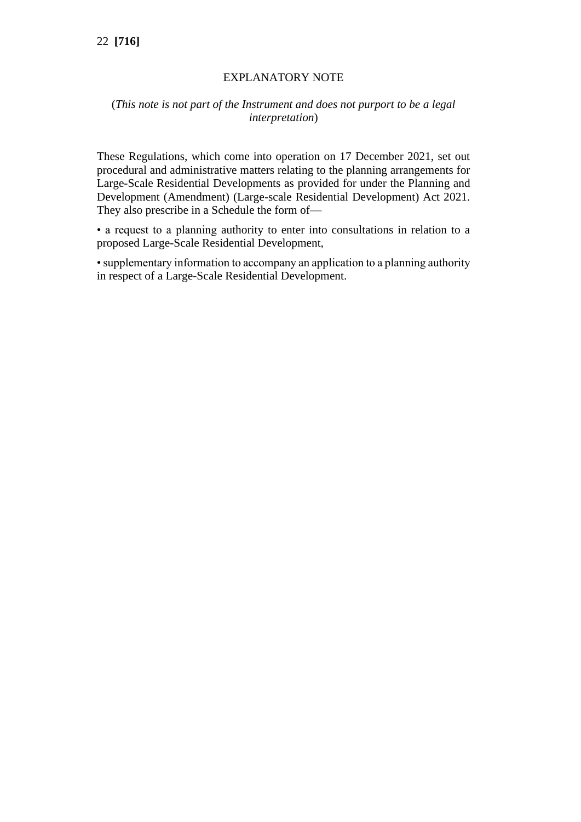# 22 **[716]**

# EXPLANATORY NOTE

# (*This note is not part of the Instrument and does not purport to be a legal interpretation*)

These Regulations, which come into operation on 17 December 2021, set out procedural and administrative matters relating to the planning arrangements for Large-Scale Residential Developments as provided for under the Planning and Development (Amendment) (Large-scale Residential Development) Act 2021. They also prescribe in a Schedule the form of—

• a request to a planning authority to enter into consultations in relation to a proposed Large-Scale Residential Development,

• supplementary information to accompany an application to a planning authority in respect of a Large-Scale Residential Development.